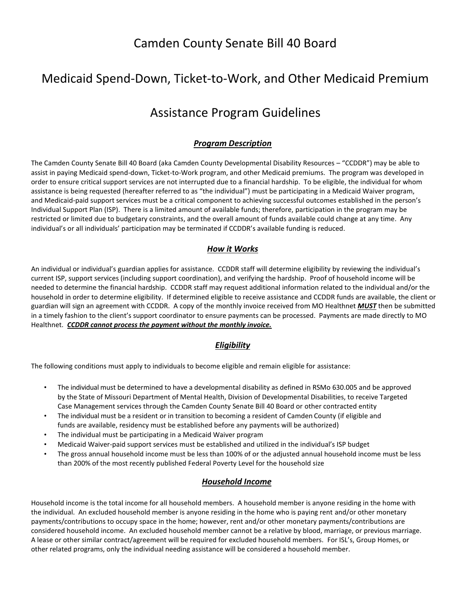## Camden County Senate Bill 40 Board

## Medicaid Spend-Down, Ticket-to-Work, and Other Medicaid Premium

## Assistance Program Guidelines

### *Program Description*

The Camden County Senate Bill 40 Board (aka Camden County Developmental Disability Resources – "CCDDR") may be able to assist in paying Medicaid spend-down, Ticket-to-Work program, and other Medicaid premiums. The program was developed in order to ensure critical support services are not interrupted due to a financial hardship. To be eligible, the individual for whom assistance is being requested (hereafter referred to as "the individual") must be participating in a Medicaid Waiver program, and Medicaid-paid support services must be a critical component to achieving successful outcomes established in the person's Individual Support Plan (ISP). There is a limited amount of available funds; therefore, participation in the program may be restricted or limited due to budgetary constraints, and the overall amount of funds available could change at any time. Any individual's or all individuals' participation may be terminated if CCDDR's available funding is reduced.

#### *How it Works*

An individual or individual's guardian applies for assistance. CCDDR staff will determine eligibility by reviewing the individual's current ISP, support services (including support coordination), and verifying the hardship. Proof of household income will be needed to determine the financial hardship. CCDDR staff may request additional information related to the individual and/or the household in order to determine eligibility. If determined eligible to receive assistance and CCDDR funds are available, the client or guardian will sign an agreement with CCDDR. A copy of the monthly invoice received from MO Healthnet *MUST* then be submitted in a timely fashion to the client's support coordinator to ensure payments can be processed. Payments are made directly to MO Healthnet. *CCDDR cannot process the payment without the monthly invoice.*

#### *Eligibility*

The following conditions must apply to individuals to become eligible and remain eligible for assistance:

- The individual must be determined to have a developmental disability as defined in RSMo 630.005 and be approved by the State of Missouri Department of Mental Health, Division of Developmental Disabilities, to receive Targeted Case Management services through the Camden County Senate Bill 40 Board or other contracted entity
- The individual must be a resident or in transition to becoming a resident of Camden County (if eligible and funds are available, residency must be established before any payments will be authorized)
- The individual must be participating in a Medicaid Waiver program
- Medicaid Waiver-paid support services must be established and utilized in the individual's ISP budget
- The gross annual household income must be less than 100% of or the adjusted annual household income must be less than 200% of the most recently published Federal Poverty Level for the household size

#### *Household Income*

Household income is the total income for all household members. A household member is anyone residing in the home with the individual. An excluded household member is anyone residing in the home who is paying rent and/or other monetary payments/contributions to occupy space in the home; however, rent and/or other monetary payments/contributions are considered household income. An excluded household member cannot be a relative by blood, marriage, or previous marriage. A lease or other similar contract/agreement will be required for excluded household members. For ISL's, Group Homes, or other related programs, only the individual needing assistance will be considered a household member.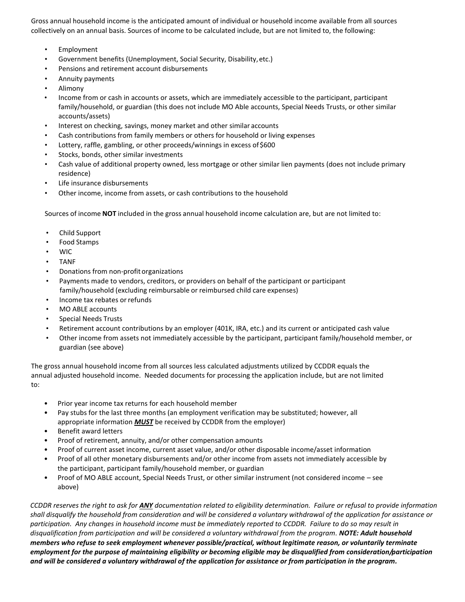Gross annual household income is the anticipated amount of individual or household income available from all sources collectively on an annual basis. Sources of income to be calculated include, but are not limited to, the following:

- **Employment**
- Government benefits (Unemployment, Social Security, Disability,etc.)
- Pensions and retirement account disbursements
- Annuity payments
- Alimony
- Income from or cash in accounts or assets, which are immediately accessible to the participant, participant family/household, or guardian (this does not include MO Able accounts, Special Needs Trusts, or other similar accounts/assets)
- Interest on checking, savings, money market and other similar accounts
- Cash contributions from family members or others for household or living expenses
- Lottery, raffle, gambling, or other proceeds/winnings in excess of \$600
- Stocks, bonds, other similar investments
- Cash value of additional property owned, less mortgage or other similar lien payments (does not include primary residence)
- Life insurance disbursements
- Other income, income from assets, or cash contributions to the household

Sources of income **NOT** included in the gross annual household income calculation are, but are not limited to:

- Child Support
- Food Stamps
- WIC
- TANF
- Donations from non-profit organizations
- Payments made to vendors, creditors, or providers on behalf of the participant or participant family/household (excluding reimbursable or reimbursed child care expenses)
- Income tax rebates or refunds
- MO ABLE accounts
- Special Needs Trusts
- Retirement account contributions by an employer (401K, IRA, etc.) and its current or anticipated cash value
- Other income from assets not immediately accessible by the participant, participant family/household member, or guardian (see above)

The gross annual household income from all sources less calculated adjustments utilized by CCDDR equals the annual adjusted household income. Needed documents for processing the application include, but are not limited to:

- Prior year income tax returns for each household member
- Pay stubs for the last three months (an employment verification may be substituted; however, all appropriate information *MUST* be received by CCDDR from the employer)
- Benefit award letters
- Proof of retirement, annuity, and/or other compensation amounts
- Proof of current asset income, current asset value, and/or other disposable income/asset information
- Proof of all other monetary disbursements and/or other income from assets not immediately accessible by the participant, participant family/household member, or guardian
- Proof of MO ABLE account, Special Needs Trust, or other similar instrument (not considered income see above)

*CCDDR reserves the right to ask for ANY documentation related to eligibility determination. Failure or refusal to provide information shall disqualify the household from consideration and will be considered a voluntary withdrawal of the application for assistance or participation. Any changes in household income must be immediately reported to CCDDR. Failure to do so may result in disqualification from participation and will be considered a voluntary withdrawal from the program. NOTE: Adult household members who refuse to seek employment whenever possible/practical, without legitimate reason, or voluntarily terminate employment for the purpose of maintaining eligibility or becoming eligible may be disqualified from consideration/participation and will be considered a voluntary withdrawal of the application for assistance or from participation in the program.*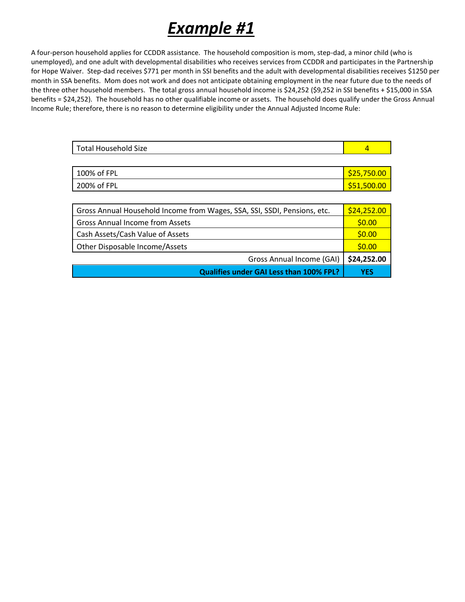# *Example #1*

A four-person household applies for CCDDR assistance. The household composition is mom, step-dad, a minor child (who is unemployed), and one adult with developmental disabilities who receives services from CCDDR and participates in the Partnership for Hope Waiver. Step-dad receives \$771 per month in SSI benefits and the adult with developmental disabilities receives \$1250 per month in SSA benefits. Mom does not work and does not anticipate obtaining employment in the near future due to the needs of the three other household members. The total gross annual household income is \$24,252 (\$9,252 in SSI benefits + \$15,000 in SSA benefits = \$24,252). The household has no other qualifiable income or assets. The household does qualify under the Gross Annual Income Rule; therefore, there is no reason to determine eligibility under the Annual Adjusted Income Rule:

| <b>Total Household Size</b> |             |
|-----------------------------|-------------|
|                             |             |
| 100% of FPL                 | \$25,750.00 |
| 200% of FPL                 | \$51,500.00 |
|                             |             |

| Gross Annual Household Income from Wages, SSA, SSI, SSDI, Pensions, etc. | \$24,252.00 |
|--------------------------------------------------------------------------|-------------|
| Gross Annual Income from Assets                                          | \$0.00      |
| Cash Assets/Cash Value of Assets                                         | \$0.00      |
| Other Disposable Income/Assets                                           | \$0.00      |
| Gross Annual Income (GAI)                                                | \$24,252.00 |
| Qualifies under GAI Less than 100% FPL?                                  | YES         |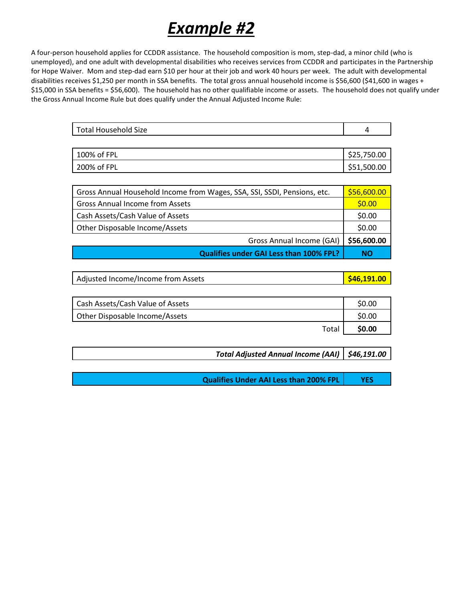# *Example #2*

A four-person household applies for CCDDR assistance. The household composition is mom, step-dad, a minor child (who is unemployed), and one adult with developmental disabilities who receives services from CCDDR and participates in the Partnership for Hope Waiver. Mom and step-dad earn \$10 per hour at their job and work 40 hours per week. The adult with developmental disabilities receives \$1,250 per month in SSA benefits. The total gross annual household income is \$56,600 (\$41,600 in wages + \$15,000 in SSA benefits = \$56,600). The household has no other qualifiable income or assets. The household does not qualify under the Gross Annual Income Rule but does qualify under the Annual Adjusted Income Rule:

| Total Household Size |  |
|----------------------|--|
|                      |  |

| 100% of FPL | \$25,750.00 |
|-------------|-------------|
| 200% of FPL | \$51,500.00 |

| Gross Annual Household Income from Wages, SSA, SSI, SSDI, Pensions, etc. | \$56,600.00 |
|--------------------------------------------------------------------------|-------------|
| <b>Gross Annual Income from Assets</b>                                   | \$0.00      |
| Cash Assets/Cash Value of Assets                                         | \$0.00      |
| Other Disposable Income/Assets                                           | \$0.00      |
| Gross Annual Income (GAI)                                                | \$56,600.00 |
| Qualifies under GAI Less than 100% FPL?                                  | NΟ          |

| Adjusted Income/Income from Assets | $\frac{1}{2}$ \$46,191.00 |
|------------------------------------|---------------------------|
|------------------------------------|---------------------------|

| Cash Assets/Cash Value of Assets | \$0.00 |
|----------------------------------|--------|
| Other Disposable Income/Assets   | \$0.00 |
| Total                            | \$0.00 |

*Total Adjusted Annual Income (AAI) \$46,191.00* 

**Qualifies Under AAI Less than 200% FPL YES**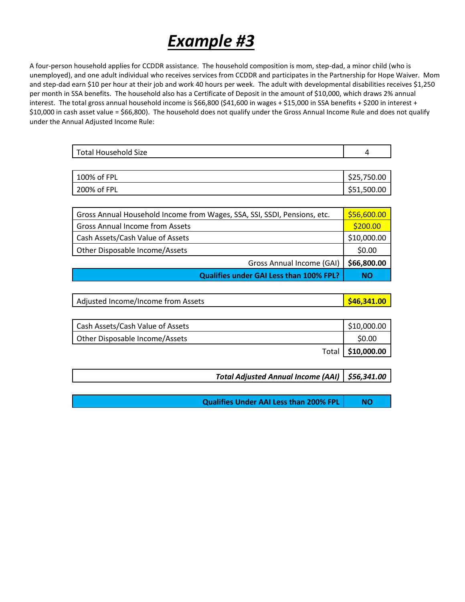# *Example #3*

A four-person household applies for CCDDR assistance. The household composition is mom, step-dad, a minor child (who is unemployed), and one adult individual who receives services from CCDDR and participates in the Partnership for Hope Waiver. Mom and step-dad earn \$10 per hour at their job and work 40 hours per week. The adult with developmental disabilities receives \$1,250 per month in SSA benefits. The household also has a Certificate of Deposit in the amount of \$10,000, which draws 2% annual interest. The total gross annual household income is \$66,800 (\$41,600 in wages + \$15,000 in SSA benefits + \$200 in interest + \$10,000 in cash asset value = \$66,800). The household does not qualify under the Gross Annual Income Rule and does not qualify under the Annual Adjusted Income Rule:

| Total Household Size |  |
|----------------------|--|
|                      |  |

| 100% of FPL | \$25,750.00 |
|-------------|-------------|
| 200% of FPL | \$51,500.00 |

| Gross Annual Household Income from Wages, SSA, SSI, SSDI, Pensions, etc. | \$56,600.00 |
|--------------------------------------------------------------------------|-------------|
| <b>Gross Annual Income from Assets</b>                                   | \$200.00    |
| Cash Assets/Cash Value of Assets                                         | \$10,000.00 |
| Other Disposable Income/Assets                                           | \$0.00      |
| Gross Annual Income (GAI)                                                | \$66,800.00 |
| <b>Qualifies under GAI Less than 100% FPL?</b>                           | NΟ          |

| Adjusted Income/Income from Assets | <b>\$46,341.00</b> |
|------------------------------------|--------------------|
|------------------------------------|--------------------|

| Cash Assets/Cash Value of Assets | \$10,000.00         |
|----------------------------------|---------------------|
| Other Disposable Income/Assets   | \$0.00              |
|                                  | Total   \$10,000.00 |

*Total Adjusted Annual Income (AAI) \$56,341.00* 

**Qualifies Under AAI Less than 200% FPL NO**